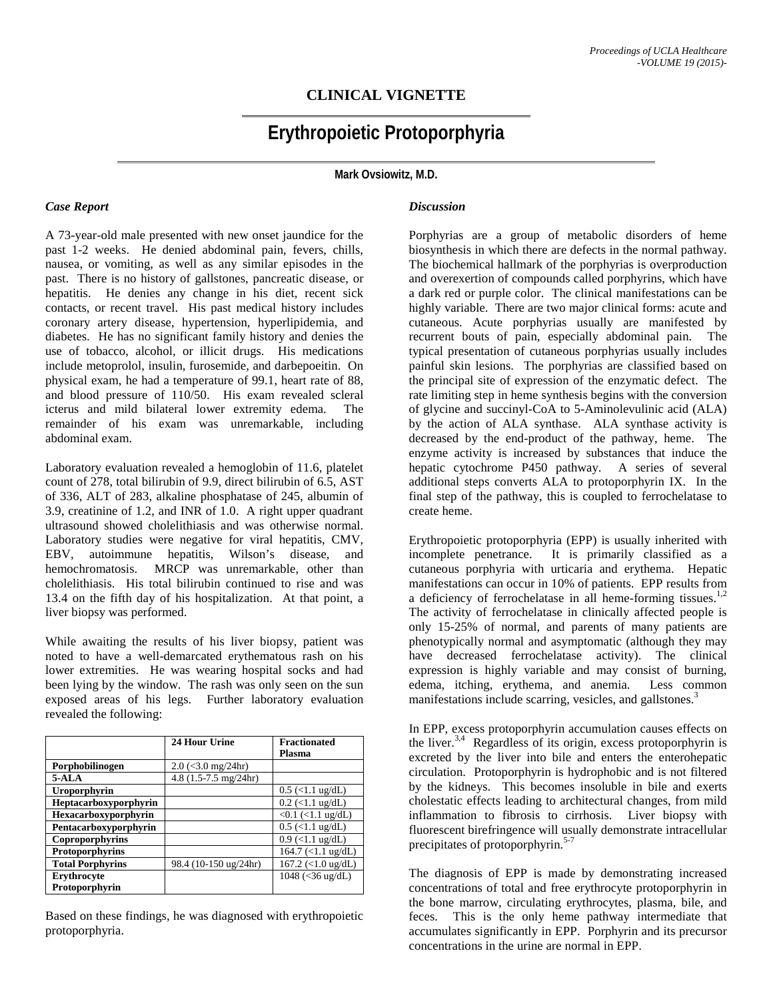# **CLINICAL VIGNETTE**

# **Erythropoietic Protoporphyria**

**Mark Ovsiowitz, M.D.**

# *Case Report*

A 73-year-old male presented with new onset jaundice for the past 1-2 weeks. He denied abdominal pain, fevers, chills, nausea, or vomiting, as well as any similar episodes in the past. There is no history of gallstones, pancreatic disease, or hepatitis. He denies any change in his diet, recent sick contacts, or recent travel. His past medical history includes coronary artery disease, hypertension, hyperlipidemia, and diabetes. He has no significant family history and denies the use of tobacco, alcohol, or illicit drugs. His medications include metoprolol, insulin, furosemide, and darbepoeitin. On physical exam, he had a temperature of 99.1, heart rate of 88, and blood pressure of 110/50. His exam revealed scleral icterus and mild bilateral lower extremity edema. The remainder of his exam was unremarkable, including abdominal exam.

Laboratory evaluation revealed a hemoglobin of 11.6, platelet count of 278, total bilirubin of 9.9, direct bilirubin of 6.5, AST of 336, ALT of 283, alkaline phosphatase of 245, albumin of 3.9, creatinine of 1.2, and INR of 1.0. A right upper quadrant ultrasound showed cholelithiasis and was otherwise normal. Laboratory studies were negative for viral hepatitis, CMV, EBV, autoimmune hepatitis, Wilson's disease, and hemochromatosis. MRCP was unremarkable, other than cholelithiasis. His total bilirubin continued to rise and was 13.4 on the fifth day of his hospitalization. At that point, a liver biopsy was performed.

While awaiting the results of his liver biopsy, patient was noted to have a well-demarcated erythematous rash on his lower extremities. He was wearing hospital socks and had been lying by the window. The rash was only seen on the sun exposed areas of his legs. Further laboratory evaluation revealed the following:

|                         | 24 Hour Urine                              | <b>Fractionated</b>    |
|-------------------------|--------------------------------------------|------------------------|
|                         |                                            | <b>Plasma</b>          |
| Porphobilinogen         | $2.0$ (<3.0 mg/24hr)                       |                        |
| $5-ALA$                 | 4.8 $(1.5 - 7.5 \text{ mg}/24 \text{ hr})$ |                        |
| Uroporphyrin            |                                            | $0.5$ (<1.1 ug/dL)     |
| Heptacarboxyporphyrin   |                                            | $0.2$ (<1.1 ug/dL)     |
| Hexacarboxyporphyrin    |                                            | $<0.1$ ( $<1.1$ ug/dL) |
| Pentacarboxyporphyrin   |                                            | $0.5$ (<1.1 ug/dL)     |
| Coproporphyrins         |                                            | $0.9$ (<1.1 ug/dL)     |
| Protoporphyrins         |                                            | $164.7$ (<1.1 ug/dL)   |
| <b>Total Porphyrins</b> | 98.4 (10-150 ug/24hr)                      | $167.2$ (<1.0 ug/dL)   |
| Erythrocyte             |                                            | 1048 (<36 ug/dL)       |
| Protoporphyrin          |                                            |                        |

Based on these findings, he was diagnosed with erythropoietic protoporphyria.

#### *Discussion*

Porphyrias are a group of metabolic disorders of heme biosynthesis in which there are defects in the normal pathway. The biochemical hallmark of the porphyrias is overproduction and overexertion of compounds called porphyrins, which have a dark red or purple color. The clinical manifestations can be highly variable. There are two major clinical forms: acute and cutaneous. Acute porphyrias usually are manifested by recurrent bouts of pain, especially abdominal pain. The typical presentation of cutaneous porphyrias usually includes painful skin lesions. The porphyrias are classified based on the principal site of expression of the enzymatic defect. The rate limiting step in heme synthesis begins with the conversion of glycine and succinyl-CoA to 5-Aminolevulinic acid (ALA) by the action of ALA synthase. ALA synthase activity is decreased by the end-product of the pathway, heme. The enzyme activity is increased by substances that induce the hepatic cytochrome P450 pathway. A series of several additional steps converts ALA to protoporphyrin IX. In the final step of the pathway, this is coupled to ferrochelatase to create heme.

Erythropoietic protoporphyria (EPP) is usually inherited with incomplete penetrance. It is primarily classified as a cutaneous porphyria with urticaria and erythema. Hepatic manifestations can occur in 10% of patients. EPP results from a deficiency of ferrochelatase in all heme-forming tissues. $1,2$ The activity of ferrochelatase in clinically affected people is only 15-25% of normal, and parents of many patients are phenotypically normal and asymptomatic (although they may have decreased ferrochelatase activity). The clinical expression is highly variable and may consist of burning, edema, itching, erythema, and anemia. Less common manifestations include scarring, vesicles, and gallstones.<sup>3</sup>

In EPP, excess protoporphyrin accumulation causes effects on the liver.<sup>3,4</sup> Regardless of its origin, excess protoporphyrin is excreted by the liver into bile and enters the enterohepatic circulation. Protoporphyrin is hydrophobic and is not filtered by the kidneys. This becomes insoluble in bile and exerts cholestatic effects leading to architectural changes, from mild inflammation to fibrosis to cirrhosis. Liver biopsy with fluorescent birefringence will usually demonstrate intracellular precipitates of protoporphyrin.<sup>5-7</sup>

The diagnosis of EPP is made by demonstrating increased concentrations of total and free erythrocyte protoporphyrin in the bone marrow, circulating erythrocytes, plasma, bile, and feces. This is the only heme pathway intermediate that accumulates significantly in EPP. Porphyrin and its precursor concentrations in the urine are normal in EPP.